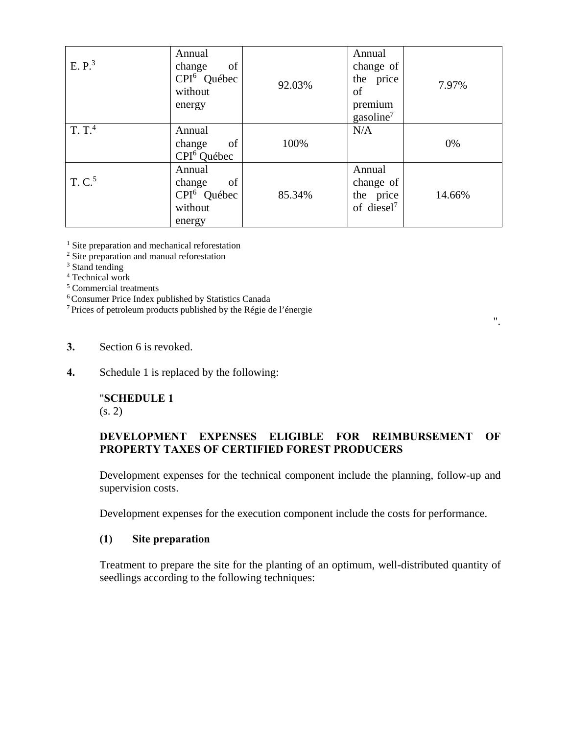Development expenses for the technical component include the planning, follow-up and supervision costs.

Development expenses for the execution component include the costs for performance.

## **(1) Site preparation**

Treatment to prepare the site for the planting of an optimum, well-distributed quantity of seedlings according to the following techniques: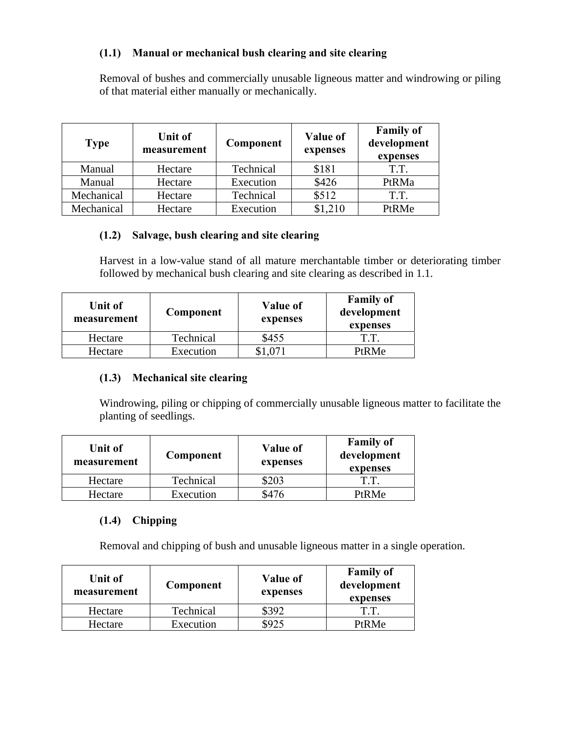## **(1.1) Manual or mechanical bush clearing and site clearing**

Removal of bushes and commercially unusable ligneous matter and windrowing or piling of that material either manually or mechanically.

| <b>Type</b> | <b>Unit of</b><br>measurement | Component | <b>Value of</b><br>expenses | <b>Family of</b><br>development<br>expenses |
|-------------|-------------------------------|-----------|-----------------------------|---------------------------------------------|
| Manual      | Hectare                       | Technical | \$181                       | T.T.                                        |
| Manual      | Hectare                       | Execution | \$426                       | PtRMa                                       |
| Mechanical  | Hectare                       | Technical | \$512                       | T.T.                                        |
| Mechanical  | Hectare                       | Execution | \$1,210                     | PtRMe                                       |

#### **(1.2) Salvage, bush clearing and site clearing**

Harvest in a low-value stand of all mature merchantable timber or deteriorating timber followed by mechanical bush clearing and site clearing as described in 1.1.

| Unit of<br>measurement | Component | Value of<br>expenses | <b>Family of</b><br>development<br>expenses |
|------------------------|-----------|----------------------|---------------------------------------------|
| Hectare                | Technical | \$455                | T.T.                                        |
| Hectare                | Execution |                      | PtRMe                                       |

# **(1.3) Mechanical site clearing**

Windrowing, piling or chipping of commercially unusable ligneous matter to facilitate the planting of seedlings.

| Unit of<br>measurement | Component | Value of<br>expenses | <b>Family of</b><br>development<br>expenses |
|------------------------|-----------|----------------------|---------------------------------------------|
| Hectare                | Technical | \$203                | T.T.                                        |
| Hectare                | Execution | \$476                | <b>PtRMe</b>                                |

# **(1.4) Chipping**

Removal and chipping of bush and unusable ligneous matter in a single operation.

| Unit of<br>measurement | Component | <b>Value of</b><br>expenses | <b>Family of</b><br>development<br>expenses |
|------------------------|-----------|-----------------------------|---------------------------------------------|
| Hectare                | Technical | \$392                       | T.T.                                        |
| Hectare                | Execution |                             | <b>PtRMe</b>                                |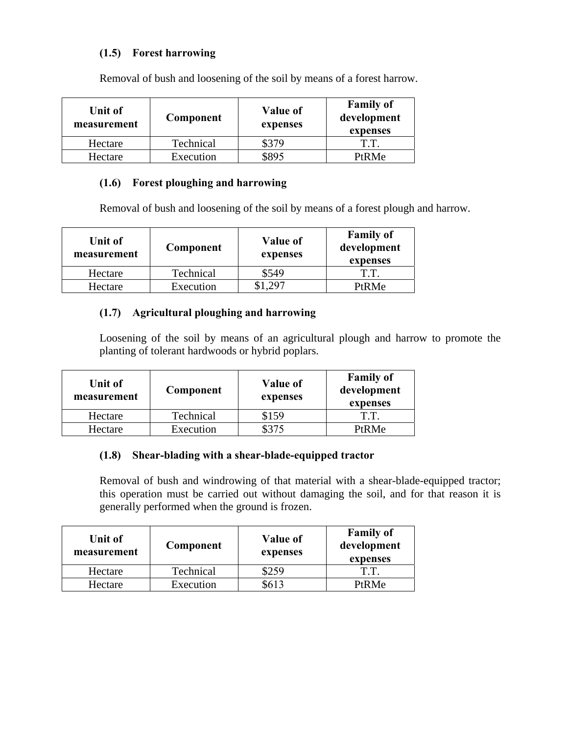## **(1.5) Forest harrowing**

| <b>Unit of</b><br>measurement | Component | <b>Value of</b><br>expenses | <b>Family of</b><br>development<br>expenses |
|-------------------------------|-----------|-----------------------------|---------------------------------------------|
| Hectare                       | Technical | \$379                       | T.T.                                        |
| Hectare                       | Execution | \$895                       | <b>PtRMe</b>                                |

Removal of bush and loosening of the soil by means of a forest harrow.

# **(1.6) Forest ploughing and harrowing**

Removal of bush and loosening of the soil by means of a forest plough and harrow.

| Unit of<br>measurement | Component | Value of<br>expenses | <b>Family of</b><br>development<br>expenses |
|------------------------|-----------|----------------------|---------------------------------------------|
| Hectare                | Technical | \$549                | T.T.                                        |
| Hectare                | Execution |                      | PtRMe                                       |

## **(1.7) Agricultural ploughing and harrowing**

Loosening of the soil by means of an agricultural plough and harrow to promote the planting of tolerant hardwoods or hybrid poplars.

| Unit of<br>measurement | Component | <b>Value of</b><br>expenses | <b>Family of</b><br>development<br>expenses |
|------------------------|-----------|-----------------------------|---------------------------------------------|
| Hectare                | Technical | \$159                       | T.T.                                        |
| Hectare                | Execution | \$375                       | PtRMe                                       |

#### **(1.8) Shear-blading with a shear-blade-equipped tractor**

Removal of bush and windrowing of that material with a shear-blade-equipped tractor; this operation must be carried out without damaging the soil, and for that reason it is generally performed when the ground is frozen.

| Unit of<br>measurement | Component | <b>Value of</b><br>expenses | <b>Family of</b><br>development<br>expenses |
|------------------------|-----------|-----------------------------|---------------------------------------------|
| Hectare                | Technical | \$259                       | T.T.                                        |
| Hectare                | Execution | 5613                        | <b>PtRMe</b>                                |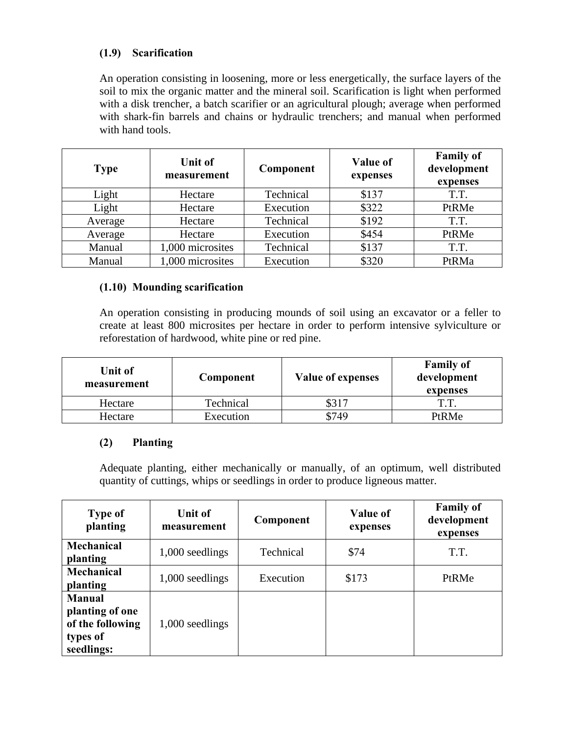## **(1.9) Scarification**

An operation consisting in loosening, more or less energetically, the surface layers of the soil to mix the organic matter and the mineral soil. Scarification is light when performed with a disk trencher, a batch scarifier or an agricultural plough; average when performed with shark-fin barrels and chains or hydraulic trenchers; and manual when performed with hand tools.

| <b>Type</b> | <b>Unit of</b><br>measurement | Component | <b>Value of</b><br>expenses | <b>Family of</b><br>development<br>expenses |
|-------------|-------------------------------|-----------|-----------------------------|---------------------------------------------|
| Light       | Hectare                       | Technical | \$137                       | T.T.                                        |
| Light       | Hectare                       | Execution | \$322                       | PtRMe                                       |
| Average     | Hectare                       | Technical | \$192                       | T.T.                                        |
| Average     | Hectare                       | Execution | \$454                       | PtRMe                                       |
| Manual      | 1,000 microsites              | Technical | \$137                       | T.T.                                        |
| Manual      | 1,000 microsites              | Execution | \$320                       | PtRMa                                       |

#### **(1.10) Mounding scarification**

An operation consisting in producing mounds of soil using an excavator or a feller to create at least 800 microsites per hectare in order to perform intensive sylviculture or reforestation of hardwood, white pine or red pine.

| Unit of<br>measurement | Component | <b>Value of expenses</b> | <b>Family of</b><br>development<br>expenses |
|------------------------|-----------|--------------------------|---------------------------------------------|
| Hectare                | Technical | \$317                    | TТ                                          |
| Hectare                | Execution | \$749                    | PtRMe                                       |

#### **(2) Planting**

Adequate planting, either mechanically or manually, of an optimum, well distributed quantity of cuttings, whips or seedlings in order to produce ligneous matter.

| <b>Type of</b><br>planting                                                     | Unit of<br>measurement | Component | <b>Value of</b><br>expenses | <b>Family of</b><br>development<br>expenses |
|--------------------------------------------------------------------------------|------------------------|-----------|-----------------------------|---------------------------------------------|
| <b>Mechanical</b><br>planting                                                  | 1,000 seedlings        | Technical | \$74                        | T.T.                                        |
| <b>Mechanical</b><br>planting                                                  | 1,000 seedlings        | Execution | \$173                       | PtRMe                                       |
| <b>Manual</b><br>planting of one<br>of the following<br>types of<br>seedlings: | 1,000 seedlings        |           |                             |                                             |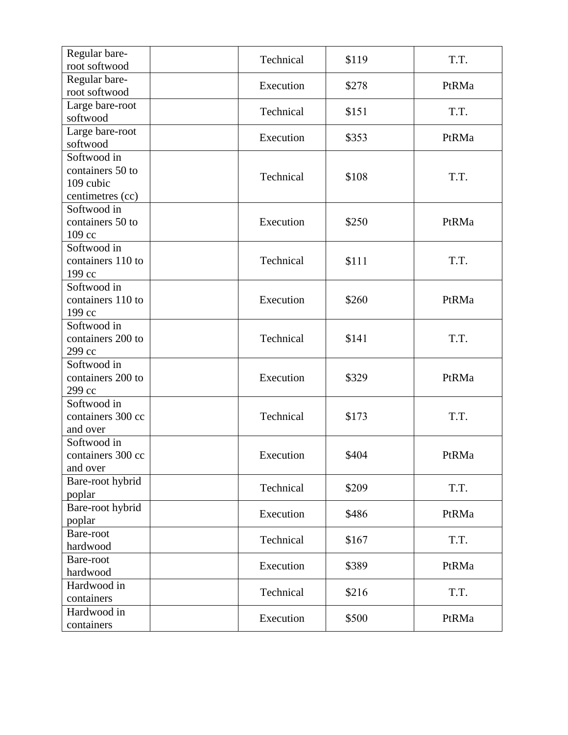| Regular bare-<br>root softwood                                   | Technical | \$119 | T.T.  |
|------------------------------------------------------------------|-----------|-------|-------|
| Regular bare-<br>root softwood                                   | Execution | \$278 | PtRMa |
| Large bare-root<br>softwood                                      | Technical | \$151 | T.T.  |
| Large bare-root<br>softwood                                      | Execution | \$353 | PtRMa |
| Softwood in<br>containers 50 to<br>109 cubic<br>centimetres (cc) | Technical | \$108 | T.T.  |
| Softwood in<br>containers 50 to<br>109 cc                        | Execution | \$250 | PtRMa |
| Softwood in<br>containers 110 to<br>199 cc                       | Technical | \$111 | T.T.  |
| Softwood in<br>containers 110 to<br>199 cc                       | Execution | \$260 | PtRMa |
| Softwood in<br>containers 200 to<br>299 сс                       | Technical | \$141 | T.T.  |
| Softwood in<br>containers 200 to<br>299 сс                       | Execution | \$329 | PtRMa |
| Softwood in<br>containers 300 cc<br>and over                     | Technical | \$173 | T.T.  |
| Softwood in<br>containers 300 cc<br>and over                     | Execution | \$404 | PtRMa |
| Bare-root hybrid<br>poplar                                       | Technical | \$209 | T.T.  |
| Bare-root hybrid<br>poplar                                       | Execution | \$486 | PtRMa |
| Bare-root<br>hardwood                                            | Technical | \$167 | T.T.  |
| Bare-root<br>hardwood                                            | Execution | \$389 | PtRMa |
| Hardwood in<br>containers                                        | Technical | \$216 | T.T.  |
| Hardwood in<br>containers                                        | Execution | \$500 | PtRMa |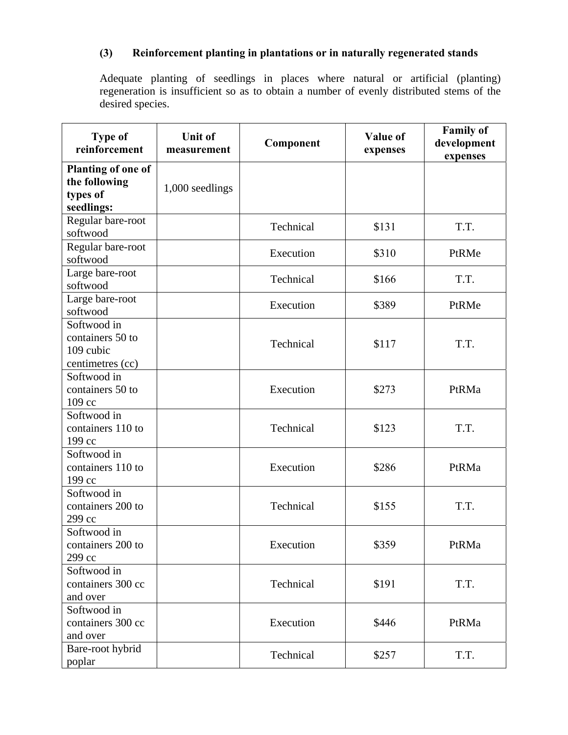# **(3) Reinforcement planting in plantations or in naturally regenerated stands**

Adequate planting of seedlings in places where natural or artificial (planting) regeneration is insufficient so as to obtain a number of evenly distributed stems of the desired species.

| <b>Type of</b><br>reinforcement                                      | <b>Unit of</b><br>measurement | Component | Value of<br>expenses | <b>Family of</b><br>development<br>expenses |
|----------------------------------------------------------------------|-------------------------------|-----------|----------------------|---------------------------------------------|
| <b>Planting of one of</b><br>the following<br>types of<br>seedlings: | 1,000 seedlings               |           |                      |                                             |
| Regular bare-root<br>softwood                                        |                               | Technical | \$131                | T.T.                                        |
| Regular bare-root<br>softwood                                        |                               | Execution | \$310                | PtRMe                                       |
| Large bare-root<br>softwood                                          |                               | Technical | \$166                | T.T.                                        |
| Large bare-root<br>softwood                                          |                               | Execution | \$389                | PtRMe                                       |
| Softwood in<br>containers 50 to<br>109 cubic<br>centimetres (cc)     |                               | Technical | \$117                | T.T.                                        |
| Softwood in<br>containers 50 to<br>109 cc                            |                               | Execution | \$273                | PtRMa                                       |
| Softwood in<br>containers 110 to<br>199 cc                           |                               | Technical | \$123                | T.T.                                        |
| Softwood in<br>containers 110 to<br>199 cc                           |                               | Execution | \$286                | PtRMa                                       |
| Softwood in<br>containers 200 to<br>299 сс                           |                               | Technical | \$155                | T.T.                                        |
| Softwood in<br>containers 200 to<br>299 cc                           |                               | Execution | \$359                | PtRMa                                       |
| Softwood in<br>containers 300 cc<br>and over                         |                               | Technical | \$191                | T.T.                                        |
| Softwood in<br>containers 300 cc<br>and over                         |                               | Execution | \$446                | PtRMa                                       |
| Bare-root hybrid<br>poplar                                           |                               | Technical | \$257                | T.T.                                        |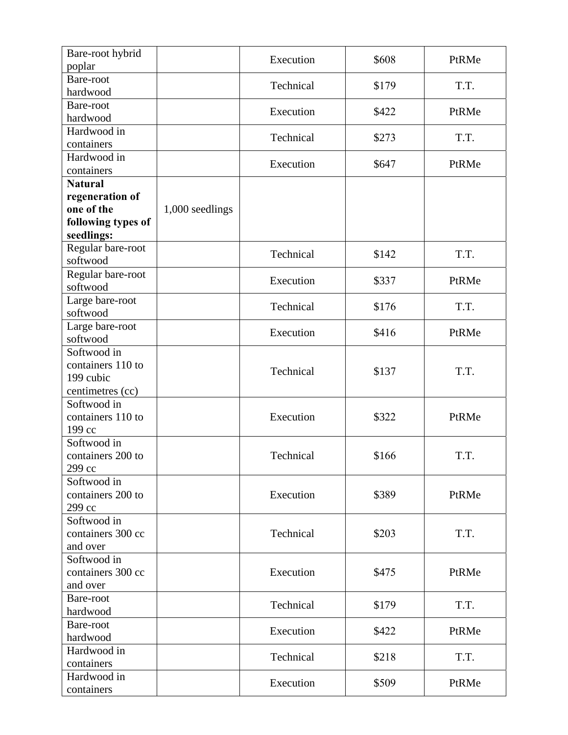| Bare-root hybrid<br>poplar                                            |                 | Execution | \$608 | PtRMe |
|-----------------------------------------------------------------------|-----------------|-----------|-------|-------|
| Bare-root<br>hardwood                                                 |                 | Technical | \$179 | T.T.  |
| Bare-root<br>hardwood                                                 |                 | Execution | \$422 | PtRMe |
| Hardwood in<br>containers                                             |                 | Technical | \$273 | T.T.  |
| Hardwood in<br>containers                                             |                 | Execution | \$647 | PtRMe |
| <b>Natural</b><br>regeneration of<br>one of the<br>following types of | 1,000 seedlings |           |       |       |
| seedlings:                                                            |                 |           |       |       |
| Regular bare-root<br>softwood                                         |                 | Technical | \$142 | T.T.  |
| Regular bare-root<br>softwood                                         |                 | Execution | \$337 | PtRMe |
| Large bare-root<br>softwood                                           |                 | Technical | \$176 | T.T.  |
| Large bare-root<br>softwood                                           |                 | Execution | \$416 | PtRMe |
| Softwood in<br>containers 110 to<br>199 cubic<br>centimetres (cc)     |                 | Technical | \$137 | T.T.  |
| Softwood in<br>containers 110 to<br>199 cc                            |                 | Execution | \$322 | PtRMe |
| Softwood in<br>containers 200 to<br>299 cc                            |                 | Technical | \$166 | T.T.  |
| Softwood in<br>containers 200 to<br>299 cc                            |                 | Execution | \$389 | PtRMe |
| Softwood in<br>containers 300 cc<br>and over                          |                 | Technical | \$203 | T.T.  |
| Softwood in<br>containers 300 cc<br>and over                          |                 | Execution | \$475 | PtRMe |
| Bare-root<br>hardwood                                                 |                 | Technical | \$179 | T.T.  |
| Bare-root<br>hardwood                                                 |                 | Execution | \$422 | PtRMe |
| Hardwood in<br>containers                                             |                 | Technical | \$218 | T.T.  |
| Hardwood in<br>containers                                             |                 | Execution | \$509 | PtRMe |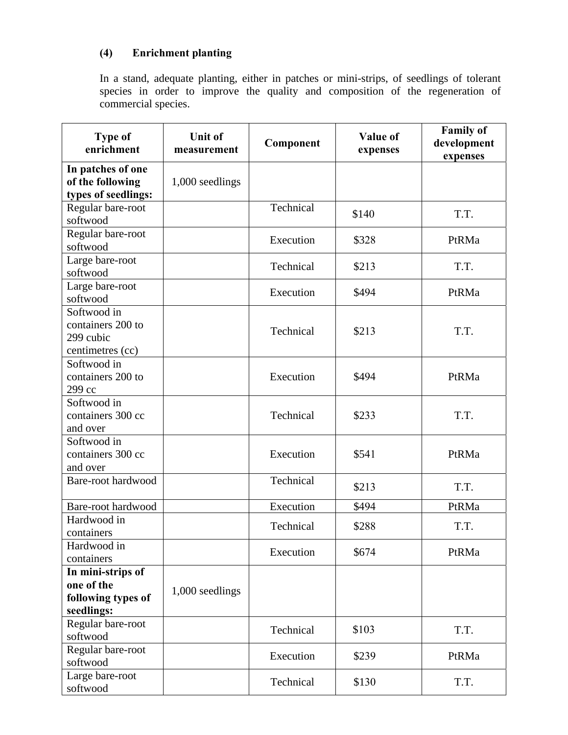# **(4) Enrichment planting**

In a stand, adequate planting, either in patches or mini-strips, of seedlings of tolerant species in order to improve the quality and composition of the regeneration of commercial species.

| <b>Type of</b><br>enrichment     | <b>Unit of</b><br>measurement | Component | Value of<br>expenses | <b>Family of</b><br>development<br>expenses |
|----------------------------------|-------------------------------|-----------|----------------------|---------------------------------------------|
| In patches of one                |                               |           |                      |                                             |
| of the following                 | 1,000 seedlings               |           |                      |                                             |
| types of seedlings:              |                               | Technical |                      |                                             |
| Regular bare-root<br>softwood    |                               |           | \$140                | T.T.                                        |
| Regular bare-root<br>softwood    |                               | Execution | \$328                | PtRMa                                       |
| Large bare-root                  |                               |           |                      |                                             |
| softwood                         |                               | Technical | \$213                | T.T.                                        |
| Large bare-root<br>softwood      |                               | Execution | \$494                | PtRMa                                       |
| Softwood in                      |                               |           |                      |                                             |
| containers 200 to                |                               |           |                      |                                             |
| 299 cubic                        |                               | Technical | \$213                | T.T.                                        |
| centimetres (cc)                 |                               |           |                      |                                             |
| Softwood in                      |                               |           |                      |                                             |
| containers 200 to                |                               | Execution | \$494                | PtRMa                                       |
| 299 cc                           |                               |           |                      |                                             |
| Softwood in<br>containers 300 cc |                               | Technical | \$233                | T.T.                                        |
| and over                         |                               |           |                      |                                             |
| Softwood in                      |                               |           |                      |                                             |
| containers 300 cc                |                               | Execution | \$541                | PtRMa                                       |
| and over                         |                               |           |                      |                                             |
| Bare-root hardwood               |                               | Technical |                      |                                             |
|                                  |                               |           | \$213                | T.T.                                        |
| Bare-root hardwood               |                               | Execution | \$494                | PtRMa                                       |
| Hardwood in                      |                               | Technical | \$288                | T.T.                                        |
| containers                       |                               |           |                      |                                             |
| Hardwood in                      |                               | Execution | \$674                | PtRMa                                       |
| containers                       |                               |           |                      |                                             |
| In mini-strips of<br>one of the  |                               |           |                      |                                             |
| following types of               | 1,000 seedlings               |           |                      |                                             |
| seedlings:                       |                               |           |                      |                                             |
| Regular bare-root                |                               |           |                      |                                             |
| softwood                         |                               | Technical | \$103                | T.T.                                        |
| Regular bare-root                |                               |           | \$239                |                                             |
| softwood                         |                               | Execution |                      | PtRMa                                       |
| Large bare-root                  |                               | Technical | \$130                | T.T.                                        |
| softwood                         |                               |           |                      |                                             |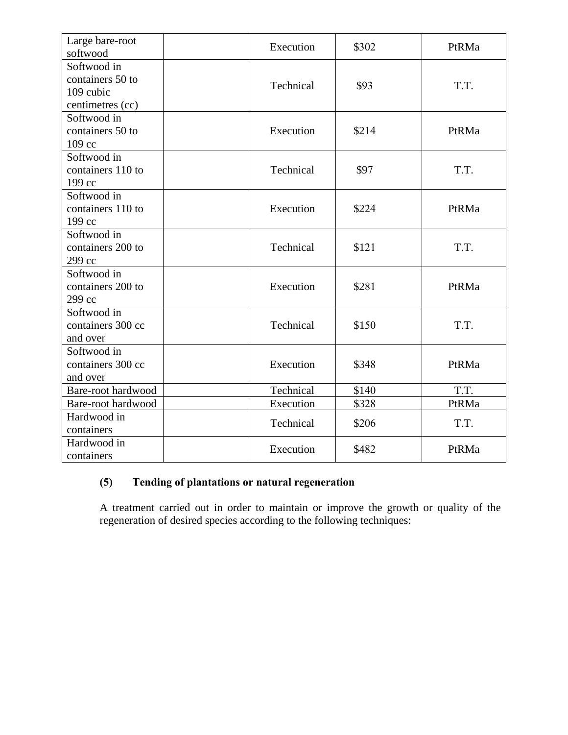| Large bare-root<br>softwood                                      | Execution | \$302 | PtRMa |
|------------------------------------------------------------------|-----------|-------|-------|
| Softwood in<br>containers 50 to<br>109 cubic<br>centimetres (cc) | Technical | \$93  | T.T.  |
| Softwood in<br>containers 50 to<br>109 cc                        | Execution | \$214 | PtRMa |
| Softwood in<br>containers 110 to<br>199 cc                       | Technical | \$97  | T.T.  |
| Softwood in<br>containers 110 to<br>199 cc                       | Execution | \$224 | PtRMa |
| Softwood in<br>containers 200 to<br>299 cc                       | Technical | \$121 | T.T.  |
| Softwood in<br>containers 200 to<br>299 cc                       | Execution | \$281 | PtRMa |
| Softwood in<br>containers 300 cc<br>and over                     | Technical | \$150 | T.T.  |
| Softwood in<br>containers 300 cc<br>and over                     | Execution | \$348 | PtRMa |
| Bare-root hardwood                                               | Technical | \$140 | T.T.  |
| Bare-root hardwood                                               | Execution | \$328 | PtRMa |
| Hardwood in<br>containers                                        | Technical | \$206 | T.T.  |
| Hardwood in<br>containers                                        | Execution | \$482 | PtRMa |

# **(5) Tending of plantations or natural regeneration**

A treatment carried out in order to maintain or improve the growth or quality of the regeneration of desired species according to the following techniques: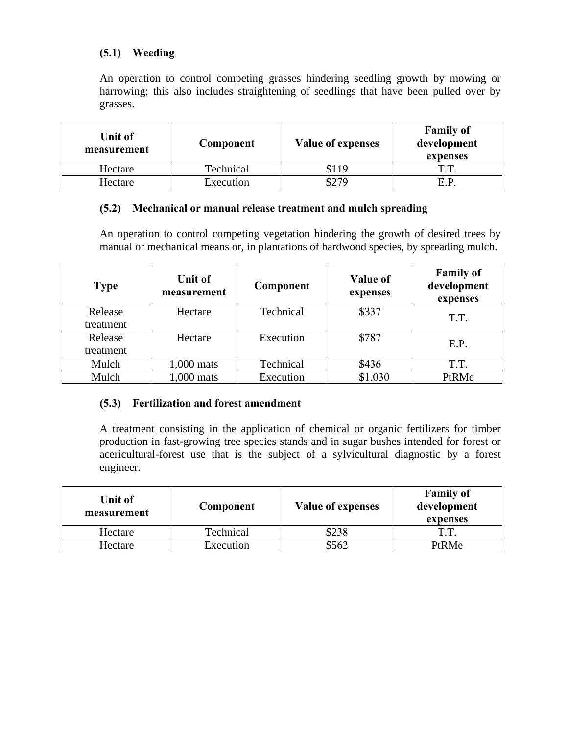## **(5.1) Weeding**

An operation to control competing grasses hindering seedling growth by mowing or harrowing; this also includes straightening of seedlings that have been pulled over by grasses.

| Unit of<br>measurement | Component | <b>Value of expenses</b> | <b>Family of</b><br>development<br>expenses |
|------------------------|-----------|--------------------------|---------------------------------------------|
| Hectare                | Technical |                          | ጥጥ                                          |
| Hectare                | Execution | \$279                    | E.P                                         |

#### **(5.2) Mechanical or manual release treatment and mulch spreading**

An operation to control competing vegetation hindering the growth of desired trees by manual or mechanical means or, in plantations of hardwood species, by spreading mulch.

| <b>Type</b> | <b>Unit of</b><br>measurement | Component | <b>Value of</b><br>expenses | <b>Family of</b><br>development<br>expenses |
|-------------|-------------------------------|-----------|-----------------------------|---------------------------------------------|
| Release     | Hectare                       | Technical | \$337                       | T.T.                                        |
| treatment   |                               |           |                             |                                             |
| Release     | Hectare                       | Execution | \$787                       | E.P.                                        |
| treatment   |                               |           |                             |                                             |
| Mulch       | 1,000 mats                    | Technical | \$436                       | T.T.                                        |
| Mulch       | 1,000 mats                    | Execution | \$1,030                     | PtRMe                                       |

#### **(5.3) Fertilization and forest amendment**

A treatment consisting in the application of chemical or organic fertilizers for timber production in fast-growing tree species stands and in sugar bushes intended for forest or acericultural-forest use that is the subject of a sylvicultural diagnostic by a forest engineer.

| Unit of<br>measurement | Component | <b>Value of expenses</b> | <b>Family of</b><br>development<br>expenses |
|------------------------|-----------|--------------------------|---------------------------------------------|
| Hectare                | Technical | \$238                    | T.T.                                        |
| Hectare                | Execution | \$562                    | PtRMe                                       |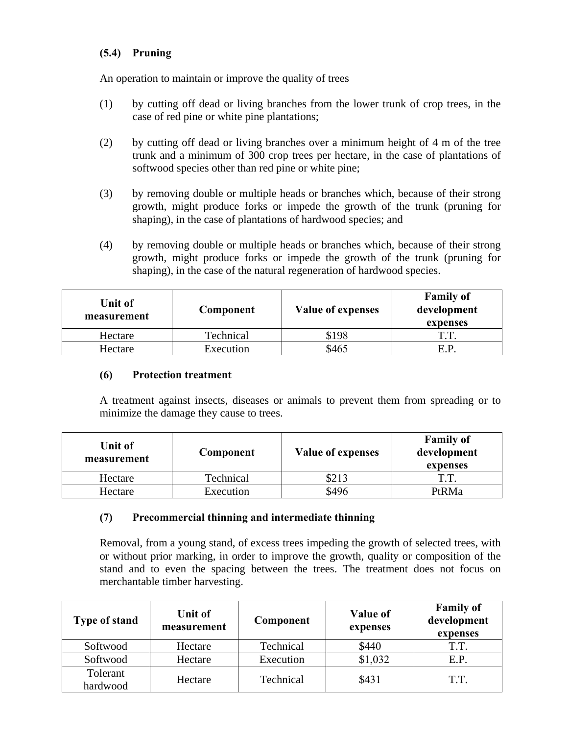## **(5.4) Pruning**

An operation to maintain or improve the quality of trees

- (1) by cutting off dead or living branches from the lower trunk of crop trees, in the case of red pine or white pine plantations;
- (2) by cutting off dead or living branches over a minimum height of 4 m of the tree trunk and a minimum of 300 crop trees per hectare, in the case of plantations of softwood species other than red pine or white pine;
- (3) by removing double or multiple heads or branches which, because of their strong growth, might produce forks or impede the growth of the trunk (pruning for shaping), in the case of plantations of hardwood species; and
- (4) by removing double or multiple heads or branches which, because of their strong growth, might produce forks or impede the growth of the trunk (pruning for shaping), in the case of the natural regeneration of hardwood species.

| Unit of<br>measurement | Component | <b>Value of expenses</b> | <b>Family of</b><br>development<br>expenses |
|------------------------|-----------|--------------------------|---------------------------------------------|
| Hectare                | Technical | \$198                    | ጥጥ                                          |
| Hectare                | Execution | \$465                    | E.P                                         |

#### **(6) Protection treatment**

A treatment against insects, diseases or animals to prevent them from spreading or to minimize the damage they cause to trees.

| Unit of<br>measurement | Component | <b>Value of expenses</b> | <b>Family of</b><br>development<br>expenses |
|------------------------|-----------|--------------------------|---------------------------------------------|
| Hectare                | Technical | \$213                    | ጥ ጥ                                         |
| Hectare                | Execution | \$496                    | PtRMa                                       |

#### **(7) Precommercial thinning and intermediate thinning**

Removal, from a young stand, of excess trees impeding the growth of selected trees, with or without prior marking, in order to improve the growth, quality or composition of the stand and to even the spacing between the trees. The treatment does not focus on merchantable timber harvesting.

| <b>Type of stand</b> | Unit of<br>measurement | Component | <b>Value of</b><br>expenses | <b>Family of</b><br>development<br>expenses |
|----------------------|------------------------|-----------|-----------------------------|---------------------------------------------|
| Softwood             | Hectare                | Technical | \$440                       | T.T.                                        |
| Softwood             | Hectare                | Execution | \$1,032                     | E.P.                                        |
| Tolerant<br>hardwood | Hectare                | Technical | \$431                       | T.T.                                        |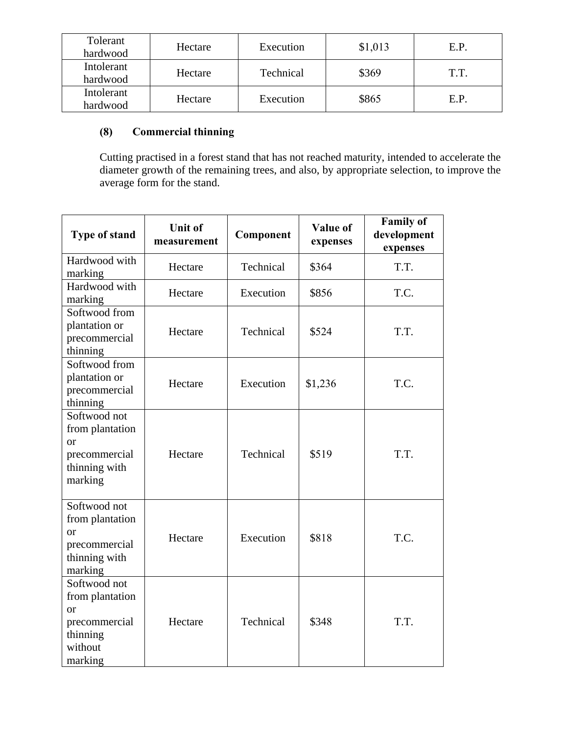| Tolerant<br>hardwood   | Hectare | Execution | \$1,013 | E.P. |
|------------------------|---------|-----------|---------|------|
| Intolerant<br>hardwood | Hectare | Technical | \$369   | T.T. |
| Intolerant<br>hardwood | Hectare | Execution | \$865   | E.P. |

## **(8) Commercial thinning**

Cutting practised in a forest stand that has not reached maturity, intended to accelerate the diameter growth of the remaining trees, and also, by appropriate selection, to improve the average form for the stand.

| <b>Type of stand</b>                                                                          | <b>Unit of</b><br>measurement | Component | Value of<br>expenses | <b>Family of</b><br>development<br>expenses |
|-----------------------------------------------------------------------------------------------|-------------------------------|-----------|----------------------|---------------------------------------------|
| Hardwood with<br>marking                                                                      | Hectare                       | Technical | \$364                | T.T.                                        |
| Hardwood with<br>marking                                                                      | Hectare                       | Execution | \$856                | T.C.                                        |
| Softwood from<br>plantation or<br>precommercial<br>thinning                                   | Hectare                       | Technical | \$524                | T.T.                                        |
| Softwood from<br>plantation or<br>precommercial<br>thinning                                   | Hectare                       | Execution | \$1,236              | T.C.                                        |
| Softwood not<br>from plantation<br><sub>or</sub><br>precommercial<br>thinning with<br>marking | Hectare                       | Technical | \$519                | T.T.                                        |
| Softwood not<br>from plantation<br>or<br>precommercial<br>thinning with<br>marking            | Hectare                       | Execution | \$818                | T.C.                                        |
| Softwood not<br>from plantation<br>or<br>precommercial<br>thinning<br>without<br>marking      | Hectare                       | Technical | \$348                | T.T.                                        |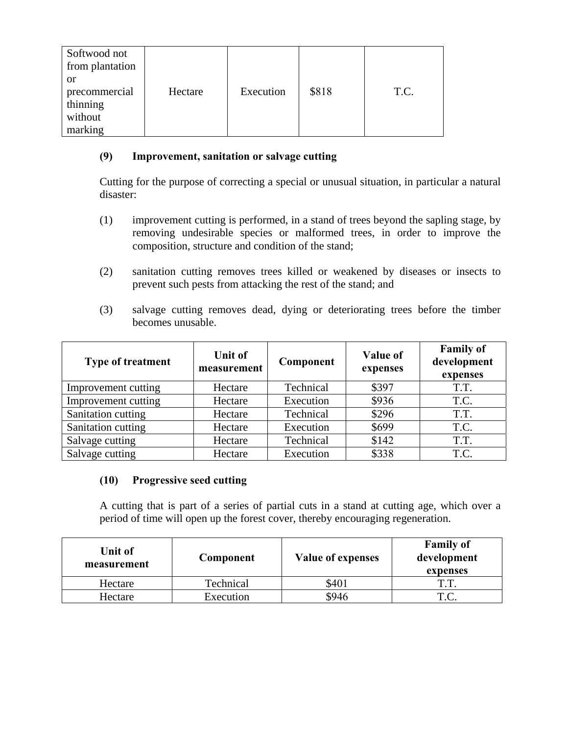| Softwood not<br>from plantation |         |           |       |      |
|---------------------------------|---------|-----------|-------|------|
| <sub>or</sub><br>precommercial  | Hectare | Execution | \$818 | T.C. |
| thinning                        |         |           |       |      |
| without                         |         |           |       |      |
| marking                         |         |           |       |      |

#### **(9) Improvement, sanitation or salvage cutting**

Cutting for the purpose of correcting a special or unusual situation, in particular a natural disaster:

- (1) improvement cutting is performed, in a stand of trees beyond the sapling stage, by removing undesirable species or malformed trees, in order to improve the composition, structure and condition of the stand;
- (2) sanitation cutting removes trees killed or weakened by diseases or insects to prevent such pests from attacking the rest of the stand; and
- (3) salvage cutting removes dead, dying or deteriorating trees before the timber becomes unusable.

| <b>Type of treatment</b> | <b>Unit of</b><br>measurement | Component | <b>Value of</b><br>expenses | <b>Family of</b><br>development<br>expenses |
|--------------------------|-------------------------------|-----------|-----------------------------|---------------------------------------------|
| Improvement cutting      | Hectare                       | Technical | \$397                       | T.T.                                        |
| Improvement cutting      | Hectare                       | Execution | \$936                       | T.C.                                        |
| Sanitation cutting       | Hectare                       | Technical | \$296                       | T.T.                                        |
| Sanitation cutting       | Hectare                       | Execution | \$699                       | T.C.                                        |
| Salvage cutting          | Hectare                       | Technical | \$142                       | T.T.                                        |
| Salvage cutting          | Hectare                       | Execution | \$338                       | T.C.                                        |

#### **(10) Progressive seed cutting**

A cutting that is part of a series of partial cuts in a stand at cutting age, which over a period of time will open up the forest cover, thereby encouraging regeneration.

| Unit of<br>measurement | Component | <b>Value of expenses</b> | <b>Family of</b><br>development<br>expenses |
|------------------------|-----------|--------------------------|---------------------------------------------|
| Hectare                | Technical | \$401                    | ጥጥ                                          |
| Hectare                | Execution | \$946                    | T.C.                                        |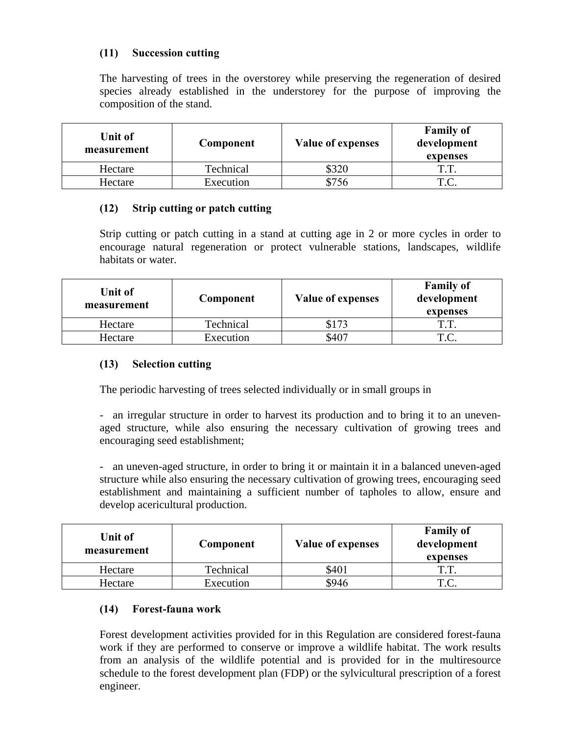## **(11) Succession cutting**

The harvesting of trees in the overstorey while preserving the regeneration of desired species already established in the understorey for the purpose of improving the composition of the stand.

| Unit of<br>measurement | Component | <b>Value of expenses</b> | <b>Family of</b><br>development<br>expenses |
|------------------------|-----------|--------------------------|---------------------------------------------|
| Hectare                | Technical | \$320                    | ጥ ጥ                                         |
| Hectare                | Execution | \$756                    | T C                                         |

#### **(12) Strip cutting or patch cutting**

Strip cutting or patch cutting in a stand at cutting age in 2 or more cycles in order to encourage natural regeneration or protect vulnerable stations, landscapes, wildlife habitats or water.

| Unit of<br>measurement | Component | <b>Value of expenses</b> | <b>Family of</b><br>development<br>expenses |
|------------------------|-----------|--------------------------|---------------------------------------------|
| Hectare                | Technical |                          | T T                                         |
| Hectare                | Execution | \$407                    | T.C.                                        |

## **(13) Selection cutting**

The periodic harvesting of trees selected individually or in small groups in

- an irregular structure in order to harvest its production and to bring it to an unevenaged structure, while also ensuring the necessary cultivation of growing trees and encouraging seed establishment;

- an uneven-aged structure, in order to bring it or maintain it in a balanced uneven-aged structure while also ensuring the necessary cultivation of growing trees, encouraging seed establishment and maintaining a sufficient number of tapholes to allow, ensure and develop acericultural production.

| Unit of<br>measurement | Component | <b>Value of expenses</b> | <b>Family of</b><br>development<br>expenses |
|------------------------|-----------|--------------------------|---------------------------------------------|
| Hectare                | Technical | \$401                    | ጥጥ                                          |
| Hectare                | Execution | \$946                    | тr                                          |

#### **(14) Forest-fauna work**

Forest development activities provided for in this Regulation are considered forest-fauna work if they are performed to conserve or improve a wildlife habitat. The work results from an analysis of the wildlife potential and is provided for in the multiresource schedule to the forest development plan (FDP) or the sylvicultural prescription of a forest engineer.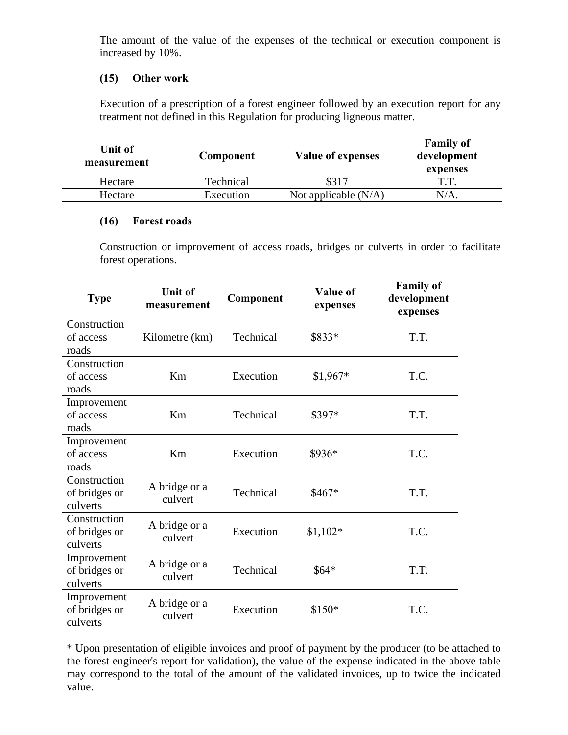The amount of the value of the expenses of the technical or execution component is increased by 10%.

## **(15) Other work**

Execution of a prescription of a forest engineer followed by an execution report for any treatment not defined in this Regulation for producing ligneous matter.

| Unit of<br>measurement | Component | <b>Value of expenses</b> | <b>Family of</b><br>development<br>expenses |
|------------------------|-----------|--------------------------|---------------------------------------------|
| Hectare                | Technical |                          | ጥጥ                                          |
| Hectare                | Execution | Not applicable $(N/A)$   | $N/A$ .                                     |

#### **(16) Forest roads**

Construction or improvement of access roads, bridges or culverts in order to facilitate forest operations.

| <b>Type</b>                               | <b>Unit of</b><br>measurement | Component | <b>Value of</b><br>expenses | <b>Family of</b><br>development<br>expenses |
|-------------------------------------------|-------------------------------|-----------|-----------------------------|---------------------------------------------|
| Construction<br>of access<br>roads        | Kilometre (km)                | Technical | \$833*                      | T.T.                                        |
| Construction<br>of access<br>roads        | Km                            | Execution | \$1,967*                    | T.C.                                        |
| Improvement<br>of access<br>roads         | <b>Km</b>                     | Technical | \$397*                      | T.T.                                        |
| Improvement<br>of access<br>roads         | Km                            | Execution | \$936*                      | T.C.                                        |
| Construction<br>of bridges or<br>culverts | A bridge or a<br>culvert      | Technical | $$467*$                     | T.T.                                        |
| Construction<br>of bridges or<br>culverts | A bridge or a<br>culvert      | Execution | $$1,102*$                   | T.C.                                        |
| Improvement<br>of bridges or<br>culverts  | A bridge or a<br>culvert      | Technical | $$64*$                      | T.T.                                        |
| Improvement<br>of bridges or<br>culverts  | A bridge or a<br>culvert      | Execution | \$150*                      | T.C.                                        |

\* Upon presentation of eligible invoices and proof of payment by the producer (to be attached to the forest engineer's report for validation), the value of the expense indicated in the above table may correspond to the total of the amount of the validated invoices, up to twice the indicated value.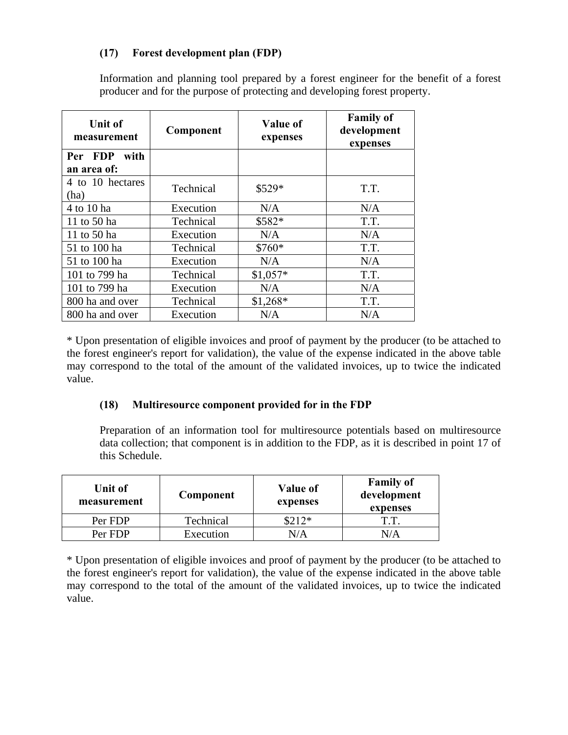## **(17) Forest development plan (FDP)**

Information and planning tool prepared by a forest engineer for the benefit of a forest producer and for the purpose of protecting and developing forest property.

| <b>Unit of</b><br>measurement | Component | <b>Value of</b><br>expenses | <b>Family of</b><br>development<br>expenses |
|-------------------------------|-----------|-----------------------------|---------------------------------------------|
| Per FDP<br>with               |           |                             |                                             |
| an area of:                   |           |                             |                                             |
| 4 to 10 hectares              | Technical | \$529*                      | T.T.                                        |
| (ha)                          |           |                             |                                             |
| 4 to 10 ha                    | Execution | N/A                         | N/A                                         |
| 11 to 50 ha                   | Technical | \$582*                      | T.T.                                        |
| 11 to 50 ha                   | Execution | N/A                         | N/A                                         |
| 51 to 100 ha                  | Technical | \$760*                      | T.T.                                        |
| 51 to 100 ha                  | Execution | N/A                         | N/A                                         |
| 101 to 799 ha                 | Technical | $$1,057*$                   | T.T.                                        |
| 101 to 799 ha                 | Execution | N/A                         | N/A                                         |
| 800 ha and over               | Technical | $$1,268*$                   | T.T.                                        |
| 800 ha and over               | Execution | N/A                         | N/A                                         |

\* Upon presentation of eligible invoices and proof of payment by the producer (to be attached to the forest engineer's report for validation), the value of the expense indicated in the above table may correspond to the total of the amount of the validated invoices, up to twice the indicated value.

#### **(18) Multiresource component provided for in the FDP**

Preparation of an information tool for multiresource potentials based on multiresource data collection; that component is in addition to the FDP, as it is described in point 17 of this Schedule.

| Unit of<br>measurement | Component | <b>Value of</b><br>expenses | <b>Family of</b><br>development<br>expenses |
|------------------------|-----------|-----------------------------|---------------------------------------------|
| Per FDP                | Technical | $312*$                      | T.T.                                        |
| Per FDP                | Execution | N/A                         |                                             |

\* Upon presentation of eligible invoices and proof of payment by the producer (to be attached to the forest engineer's report for validation), the value of the expense indicated in the above table may correspond to the total of the amount of the validated invoices, up to twice the indicated value.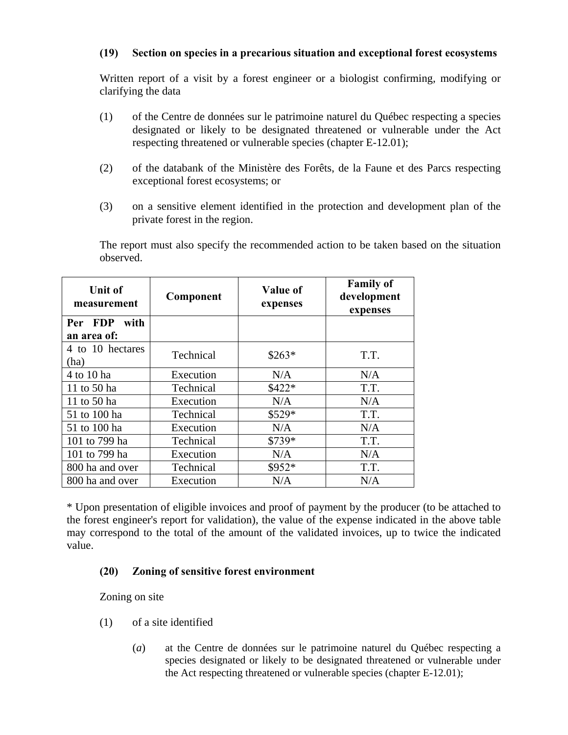#### **(19) Section on species in a precarious situation and exceptional forest ecosystems**

Written report of a visit by a forest engineer or a biologist confirming, modifying or clarifying the data

- (1) of the Centre de données sur le patrimoine naturel du Québec respecting a species designated or likely to be designated threatened or vulnerable under the Act respecting threatened or vulnerable species (chapter E-12.01);
- (2) of the databank of the Ministère des Forêts, de la Faune et des Parcs respecting exceptional forest ecosystems; or
- (3) on a sensitive element identified in the protection and development plan of the private forest in the region.

The report must also specify the recommended action to be taken based on the situation observed.

| <b>Unit of</b><br>measurement | Component | <b>Value of</b><br>expenses | <b>Family of</b><br>development<br>expenses |
|-------------------------------|-----------|-----------------------------|---------------------------------------------|
| Per FDP<br>with               |           |                             |                                             |
| an area of:                   |           |                             |                                             |
| 4 to 10 hectares<br>(ha)      | Technical | $$263*$                     | T.T.                                        |
| 4 to 10 ha                    | Execution | N/A                         | N/A                                         |
| 11 to 50 ha                   | Technical | \$422*                      | T.T.                                        |
| 11 to 50 ha                   | Execution | N/A                         | N/A                                         |
| 51 to 100 ha                  | Technical | \$529*                      | T.T.                                        |
| 51 to 100 ha                  | Execution | N/A                         | N/A                                         |
| 101 to 799 ha                 | Technical | \$739*                      | T.T.                                        |
| 101 to 799 ha                 | Execution | N/A                         | N/A                                         |
| 800 ha and over               | Technical | \$952*                      | T.T.                                        |
| 800 ha and over               | Execution | N/A                         | N/A                                         |

\* Upon presentation of eligible invoices and proof of payment by the producer (to be attached to the forest engineer's report for validation), the value of the expense indicated in the above table may correspond to the total of the amount of the validated invoices, up to twice the indicated value.

#### **(20) Zoning of sensitive forest environment**

Zoning on site

- (1) of a site identified
	- (*a*) at the Centre de données sur le patrimoine naturel du Québec respecting a species designated or likely to be designated threatened or vulnerable under the Act respecting threatened or vulnerable species (chapter E-12.01);